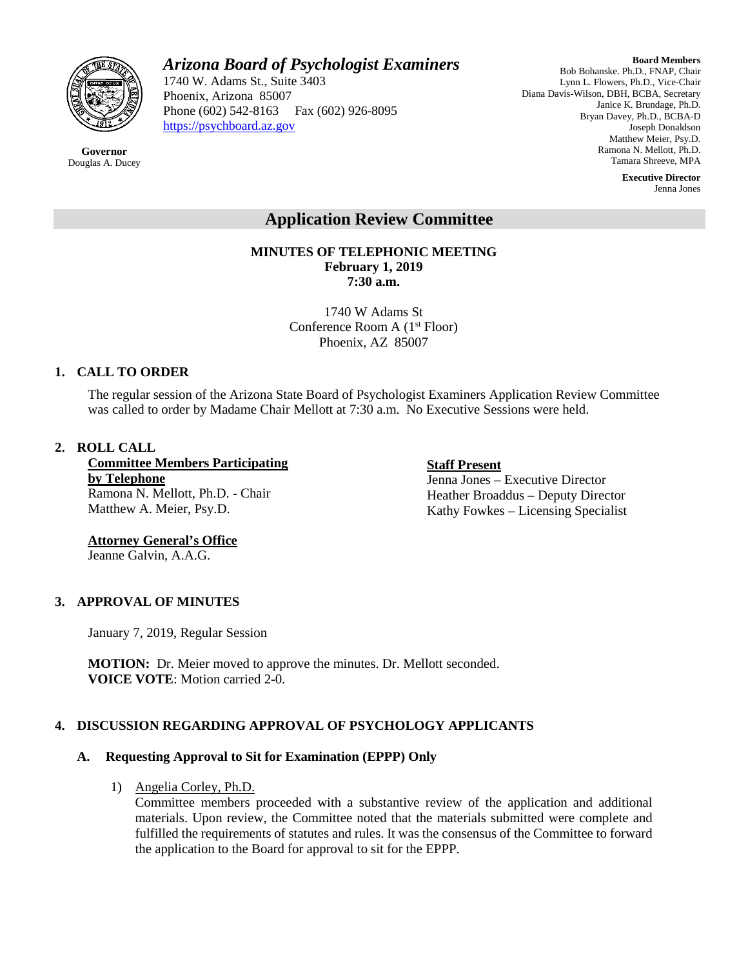

# *Arizona Board of Psychologist Examiners*

1740 W. Adams St., Suite 3403 Phoenix, Arizona 85007 Phone (602) 542-8163 Fax (602) 926-8095 [https://psychboard.az.gov](https://psychboard.az.gov/) 

**Board Members** Bob Bohanske. Ph.D., FNAP, Chair Lynn L. Flowers, Ph.D., Vice-Chair Diana Davis-Wilson, DBH, BCBA, Secretary Janice K. Brundage, Ph.D. Bryan Davey, Ph.D., BCBA-D Joseph Donaldson Matthew Meier, Psy.D. Ramona N. Mellott, Ph.D. Tamara Shreeve, MPA

> **Executive Director** Jenna Jones

# **Application Review Committee**

**MINUTES OF TELEPHONIC MEETING February 1, 2019 7:30 a.m.**

> 1740 W Adams St Conference Room A (1st Floor) Phoenix, AZ 85007

## **1. CALL TO ORDER**

The regular session of the Arizona State Board of Psychologist Examiners Application Review Committee was called to order by Madame Chair Mellott at 7:30 a.m. No Executive Sessions were held.

## **2. ROLL CALL**

**Committee Members Participating by Telephone** Ramona N. Mellott, Ph.D. - Chair Matthew A. Meier, Psy.D.

**Staff Present** Jenna Jones – Executive Director Heather Broaddus – Deputy Director Kathy Fowkes – Licensing Specialist

## **Attorney General's Office**  Jeanne Galvin, A.A.G.

**3. APPROVAL OF MINUTES**

January 7, 2019, Regular Session

**MOTION:** Dr. Meier moved to approve the minutes. Dr. Mellott seconded. **VOICE VOTE**: Motion carried 2-0.

# **4. DISCUSSION REGARDING APPROVAL OF PSYCHOLOGY APPLICANTS**

## **A. Requesting Approval to Sit for Examination (EPPP) Only**

## 1) Angelia Corley, Ph.D.

Committee members proceeded with a substantive review of the application and additional materials. Upon review, the Committee noted that the materials submitted were complete and fulfilled the requirements of statutes and rules. It was the consensus of the Committee to forward the application to the Board for approval to sit for the EPPP.

**Governor** Douglas A. Ducey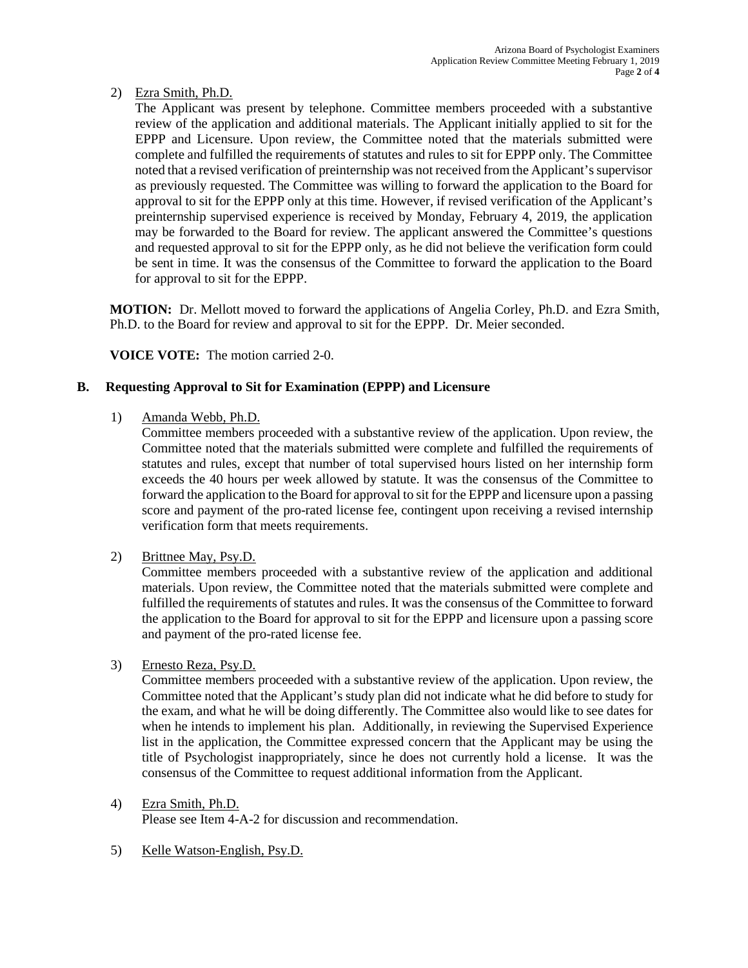## 2) Ezra Smith, Ph.D.

The Applicant was present by telephone. Committee members proceeded with a substantive review of the application and additional materials. The Applicant initially applied to sit for the EPPP and Licensure. Upon review, the Committee noted that the materials submitted were complete and fulfilled the requirements of statutes and rules to sit for EPPP only. The Committee noted that a revised verification of preinternship was not received from the Applicant's supervisor as previously requested. The Committee was willing to forward the application to the Board for approval to sit for the EPPP only at this time. However, if revised verification of the Applicant's preinternship supervised experience is received by Monday, February 4, 2019, the application may be forwarded to the Board for review. The applicant answered the Committee's questions and requested approval to sit for the EPPP only, as he did not believe the verification form could be sent in time. It was the consensus of the Committee to forward the application to the Board for approval to sit for the EPPP.

**MOTION:** Dr. Mellott moved to forward the applications of Angelia Corley, Ph.D. and Ezra Smith, Ph.D. to the Board for review and approval to sit for the EPPP. Dr. Meier seconded.

**VOICE VOTE:** The motion carried 2-0.

## **B. Requesting Approval to Sit for Examination (EPPP) and Licensure**

1) Amanda Webb, Ph.D.

Committee members proceeded with a substantive review of the application. Upon review, the Committee noted that the materials submitted were complete and fulfilled the requirements of statutes and rules, except that number of total supervised hours listed on her internship form exceeds the 40 hours per week allowed by statute. It was the consensus of the Committee to forward the application to the Board for approval to sit for the EPPP and licensure upon a passing score and payment of the pro-rated license fee, contingent upon receiving a revised internship verification form that meets requirements.

2) Brittnee May, Psy.D.

Committee members proceeded with a substantive review of the application and additional materials. Upon review, the Committee noted that the materials submitted were complete and fulfilled the requirements of statutes and rules. It was the consensus of the Committee to forward the application to the Board for approval to sit for the EPPP and licensure upon a passing score and payment of the pro-rated license fee.

3) Ernesto Reza, Psy.D.

Committee members proceeded with a substantive review of the application. Upon review, the Committee noted that the Applicant's study plan did not indicate what he did before to study for the exam, and what he will be doing differently. The Committee also would like to see dates for when he intends to implement his plan. Additionally, in reviewing the Supervised Experience list in the application, the Committee expressed concern that the Applicant may be using the title of Psychologist inappropriately, since he does not currently hold a license. It was the consensus of the Committee to request additional information from the Applicant.

4) Ezra Smith, Ph.D.

Please see Item 4-A-2 for discussion and recommendation.

5) Kelle Watson-English, Psy.D.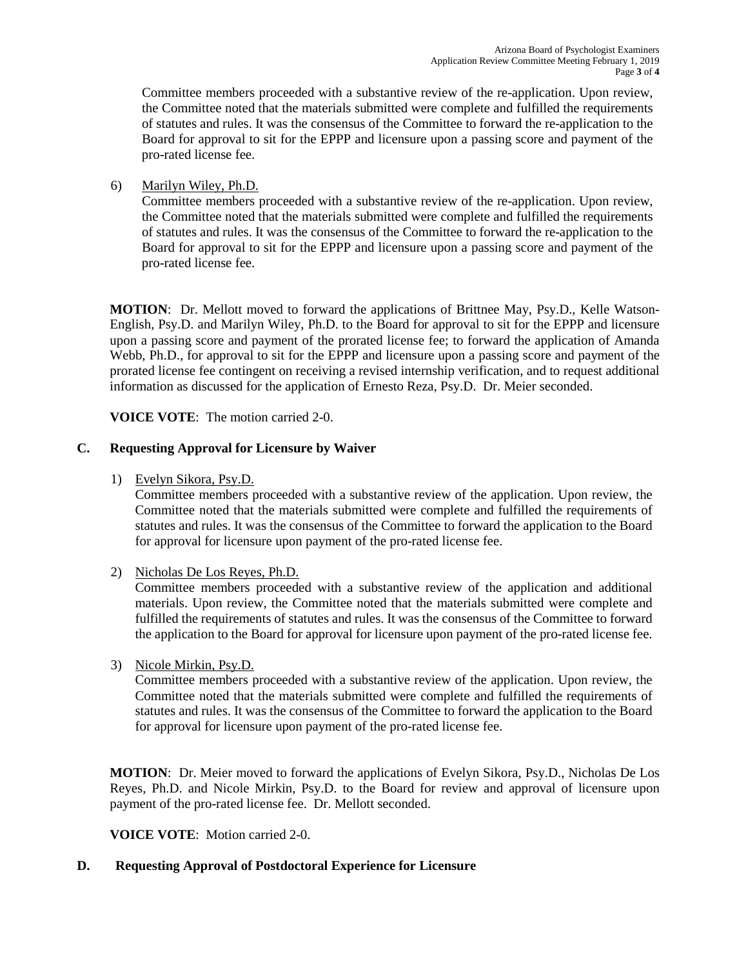Committee members proceeded with a substantive review of the re-application. Upon review, the Committee noted that the materials submitted were complete and fulfilled the requirements of statutes and rules. It was the consensus of the Committee to forward the re-application to the Board for approval to sit for the EPPP and licensure upon a passing score and payment of the pro-rated license fee.

6) Marilyn Wiley, Ph.D.

Committee members proceeded with a substantive review of the re-application. Upon review, the Committee noted that the materials submitted were complete and fulfilled the requirements of statutes and rules. It was the consensus of the Committee to forward the re-application to the Board for approval to sit for the EPPP and licensure upon a passing score and payment of the pro-rated license fee.

**MOTION**: Dr. Mellott moved to forward the applications of Brittnee May, Psy.D., Kelle Watson-English, Psy.D. and Marilyn Wiley, Ph.D. to the Board for approval to sit for the EPPP and licensure upon a passing score and payment of the prorated license fee; to forward the application of Amanda Webb, Ph.D., for approval to sit for the EPPP and licensure upon a passing score and payment of the prorated license fee contingent on receiving a revised internship verification, and to request additional information as discussed for the application of Ernesto Reza, Psy.D. Dr. Meier seconded.

**VOICE VOTE**: The motion carried 2-0.

## **C. Requesting Approval for Licensure by Waiver**

1) Evelyn Sikora, Psy.D.

Committee members proceeded with a substantive review of the application. Upon review, the Committee noted that the materials submitted were complete and fulfilled the requirements of statutes and rules. It was the consensus of the Committee to forward the application to the Board for approval for licensure upon payment of the pro-rated license fee.

2) Nicholas De Los Reyes, Ph.D.

Committee members proceeded with a substantive review of the application and additional materials. Upon review, the Committee noted that the materials submitted were complete and fulfilled the requirements of statutes and rules. It was the consensus of the Committee to forward the application to the Board for approval for licensure upon payment of the pro-rated license fee.

3) Nicole Mirkin, Psy.D.

Committee members proceeded with a substantive review of the application. Upon review, the Committee noted that the materials submitted were complete and fulfilled the requirements of statutes and rules. It was the consensus of the Committee to forward the application to the Board for approval for licensure upon payment of the pro-rated license fee.

**MOTION**: Dr. Meier moved to forward the applications of Evelyn Sikora, Psy.D., Nicholas De Los Reyes, Ph.D. and Nicole Mirkin, Psy.D. to the Board for review and approval of licensure upon payment of the pro-rated license fee. Dr. Mellott seconded.

**VOICE VOTE**: Motion carried 2-0.

## **D. Requesting Approval of Postdoctoral Experience for Licensure**